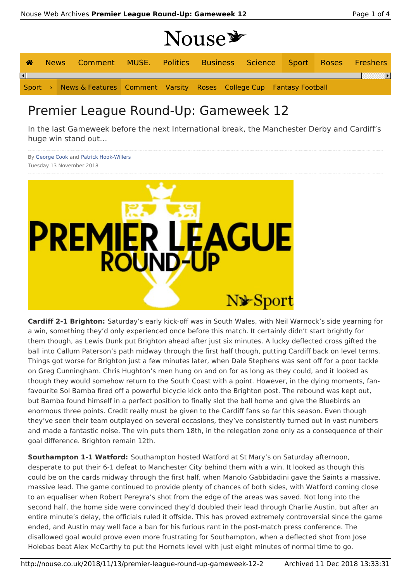## Nouse \*

| 合 |  | News Comment MUSE. Politics Business Science Sport Roses Freshers          |  |  |  |  |
|---|--|----------------------------------------------------------------------------|--|--|--|--|
| ⊣ |  |                                                                            |  |  |  |  |
|   |  | Sport > News & Features Comment Varsity Roses College Cup Fantasy Football |  |  |  |  |

## Premier League Round-Up: Gameweek 12

In the last Gameweek before the next International break, the Manchester Derby and Cardiff's huge win stand out…

By George Cook and Patrick Hook-Willers Tuesday 13 November 2018



**Cardiff 2-1 Brighton:** Saturday's early kick-off was in South Wales, with Neil Warnock's side yearning for a win, something they'd only experienced once before this match. It certainly didn't start brightly for them though, as Lewis Dunk put Brighton ahead after just six minutes. A lucky deflected cross gifted the ball into Callum Paterson's path midway through the first half though, putting Cardiff back on level terms. Things got worse for Brighton just a few minutes later, when Dale Stephens was sent off for a poor tackle on Greg Cunningham. Chris Hughton's men hung on and on for as long as they could, and it looked as though they would somehow return to the South Coast with a point. However, in the dying moments, fanfavourite Sol Bamba fired off a powerful bicycle kick onto the Brighton post. The rebound was kept out, but Bamba found himself in a perfect position to finally slot the ball home and give the Bluebirds an enormous three points. Credit really must be given to the Cardiff fans so far this season. Even though they've seen their team outplayed on several occasions, they've consistently turned out in vast numbers and made a fantastic noise. The win puts them 18th, in the relegation zone only as a consequence of their goal difference. Brighton remain 12th.

**Southampton 1-1 Watford:** Southampton hosted Watford at St Mary's on Saturday afternoon, desperate to put their 6-1 defeat to Manchester City behind them with a win. It looked as though this could be on the cards midway through the first half, when Manolo Gabbidadini gave the Saints a massive, massive lead. The game continued to provide plenty of chances of both sides, with Watford coming close to an equaliser when Robert Pereyra's shot from the edge of the areas was saved. Not long into the second half, the home side were convinced they'd doubled their lead through Charlie Austin, but after an entire minute's delay, the officials ruled it offside. This has proved extremely controversial since the game ended, and Austin may well face a ban for his furious rant in the post-match press conference. The disallowed goal would prove even more frustrating for Southampton, when a deflected shot from Jose Holebas beat Alex McCarthy to put the Hornets level with just eight minutes of normal time to go.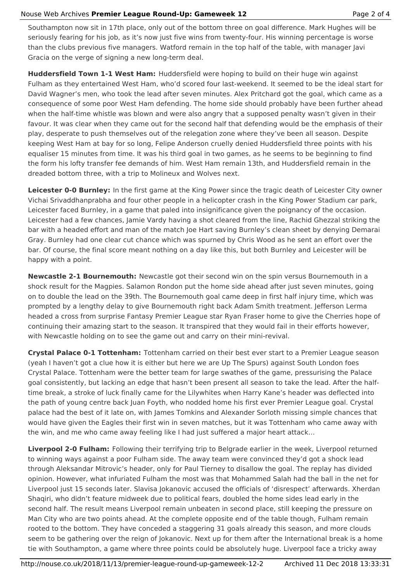## Nouse Web Archives **Premier League Round-Up: Gameweek 12** Page 2 of 4

Southampton now sit in 17th place, only out of the bottom three on goal difference. Mark Hughes will be seriously fearing for his job, as it's now just five wins from twenty-four. His winning percentage is worse than the clubs previous five managers. Watford remain in the top half of the table, with manager Javi Gracia on the verge of signing a new long-term deal.

**Huddersfield Town 1-1 West Ham:** Huddersfield were hoping to build on their huge win against Fulham as they entertained West Ham, who'd scored four last-weekend. It seemed to be the ideal start for David Wagner's men, who took the lead after seven minutes. Alex Pritchard got the goal, which came as a consequence of some poor West Ham defending. The home side should probably have been further ahead when the half-time whistle was blown and were also angry that a supposed penalty wasn't given in their favour. It was clear when they came out for the second half that defending would be the emphasis of their play, desperate to push themselves out of the relegation zone where they've been all season. Despite keeping West Ham at bay for so long, Felipe Anderson cruelly denied Huddersfield three points with his equaliser 15 minutes from time. It was his third goal in two games, as he seems to be beginning to find the form his lofty transfer fee demands of him. West Ham remain 13th, and Huddersfield remain in the dreaded bottom three, with a trip to Molineux and Wolves next.

**Leicester 0-0 Burnley:** In the first game at the King Power since the tragic death of Leicester City owner Vichai Srivaddhanprabha and four other people in a helicopter crash in the King Power Stadium car park, Leicester faced Burnley, in a game that paled into insignificance given the poignancy of the occasion. Leicester had a few chances, Jamie Vardy having a shot cleared from the line, Rachid Ghezzal striking the bar with a headed effort and man of the match Joe Hart saving Burnley's clean sheet by denying Demarai Gray. Burnley had one clear cut chance which was spurned by Chris Wood as he sent an effort over the bar. Of course, the final score meant nothing on a day like this, but both Burnley and Leicester will be happy with a point.

**Newcastle 2-1 Bournemouth:** Newcastle got their second win on the spin versus Bournemouth in a shock result for the Magpies. Salamon Rondon put the home side ahead after just seven minutes, going on to double the lead on the 39th. The Bournemouth goal came deep in first half injury time, which was prompted by a lengthy delay to give Bournemouth right back Adam Smith treatment. Jefferson Lerma headed a cross from surprise Fantasy Premier League star Ryan Fraser home to give the Cherries hope of continuing their amazing start to the season. It transpired that they would fail in their efforts however, with Newcastle holding on to see the game out and carry on their mini-revival.

**Crystal Palace 0-1 Tottenham:** Tottenham carried on their best ever start to a Premier League season (yeah I haven't got a clue how it is either but here we are Up The Spurs) against South London foes Crystal Palace. Tottenham were the better team for large swathes of the game, pressurising the Palace goal consistently, but lacking an edge that hasn't been present all season to take the lead. After the halftime break, a stroke of luck finally came for the Lilywhites when Harry Kane's header was deflected into the path of young centre back Juan Foyth, who nodded home his first ever Premier League goal. Crystal palace had the best of it late on, with James Tomkins and Alexander Sorloth missing simple chances that would have given the Eagles their first win in seven matches, but it was Tottenham who came away with the win, and me who came away feeling like I had just suffered a major heart attack…

**Liverpool 2-0 Fulham:** Following their terrifying trip to Belgrade earlier in the week, Liverpool returned to winning ways against a poor Fulham side. The away team were convinced they'd got a shock lead through Aleksandar Mitrovic's header, only for Paul Tierney to disallow the goal. The replay has divided opinion. However, what infuriated Fulham the most was that Mohammed Salah had the ball in the net for Liverpool just 15 seconds later. Slavisa Jokanovic accused the officials of 'disrespect' afterwards. Xherdan Shaqiri, who didn't feature midweek due to political fears, doubled the home sides lead early in the second half. The result means Liverpool remain unbeaten in second place, still keeping the pressure on Man City who are two points ahead. At the complete opposite end of the table though, Fulham remain rooted to the bottom. They have conceded a staggering 31 goals already this season, and more clouds seem to be gathering over the reign of Jokanovic. Next up for them after the International break is a home tie with Southampton, a game where three points could be absolutely huge. Liverpool face a tricky away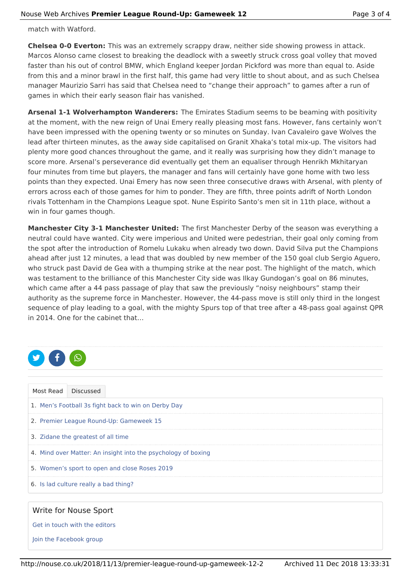match with Watford.

**Chelsea 0-0 Everton:** This was an extremely scrappy draw, neither side showing prowess in attack. Marcos Alonso came closest to breaking the deadlock with a sweetly struck cross goal volley that moved faster than his out of control BMW, which England keeper Jordan Pickford was more than equal to. Aside from this and a minor brawl in the first half, this game had very little to shout about, and as such Chelsea manager Maurizio Sarri has said that Chelsea need to "change their approach" to games after a run of games in which their early season flair has vanished.

**Arsenal 1-1 Wolverhampton Wanderers:** The Emirates Stadium seems to be beaming with positivity at the moment, with the new reign of Unai Emery really pleasing most fans. However, fans certainly won't have been impressed with the opening twenty or so minutes on Sunday. Ivan Cavaleiro gave Wolves the lead after thirteen minutes, as the away side capitalised on Granit Xhaka's total mix-up. The visitors had plenty more good chances throughout the game, and it really was surprising how they didn't manage to score more. Arsenal's perseverance did eventually get them an equaliser through Henrikh Mkhitaryan four minutes from time but players, the manager and fans will certainly have gone home with two less points than they expected. Unai Emery has now seen three consecutive draws with Arsenal, with plenty of errors across each of those games for him to ponder. They are fifth, three points adrift of North London rivals Tottenham in the Champions League spot. Nune Espirito Santo's men sit in 11th place, without a win in four games though.

**Manchester City 3-1 Manchester United:** The first Manchester Derby of the season was everything a neutral could have wanted. City were imperious and United were pedestrian, their goal only coming from the spot after the introduction of Romelu Lukaku when already two down. David Silva put the Champions ahead after just 12 minutes, a lead that was doubled by new member of the 150 goal club Sergio Aguero, who struck past David de Gea with a thumping strike at the near post. The highlight of the match, which was testament to the brilliance of this Manchester City side was Ilkay Gundogan's goal on 86 minutes, which came after a 44 pass passage of play that saw the previously "noisy neighbours" stamp their authority as the supreme force in Manchester. However, the 44-pass move is still only third in the longest sequence of play leading to a goal, with the mighty Spurs top of that tree after a 48-pass goal against QPR in 2014. One for the cabinet that…



| Most Read                                                     | <b>Discussed</b>                      |  |  |  |  |  |  |
|---------------------------------------------------------------|---------------------------------------|--|--|--|--|--|--|
| 1. Men's Football 3s fight back to win on Derby Day           |                                       |  |  |  |  |  |  |
| 2. Premier League Round-Up: Gameweek 15                       |                                       |  |  |  |  |  |  |
| 3. Zidane the greatest of all time                            |                                       |  |  |  |  |  |  |
| 4. Mind over Matter: An insight into the psychology of boxing |                                       |  |  |  |  |  |  |
| 5. Women's sport to open and close Roses 2019                 |                                       |  |  |  |  |  |  |
|                                                               | 6. Is lad culture really a bad thing? |  |  |  |  |  |  |

## Write for Nouse Sport

Get in touch with the editors

Join the Facebook group